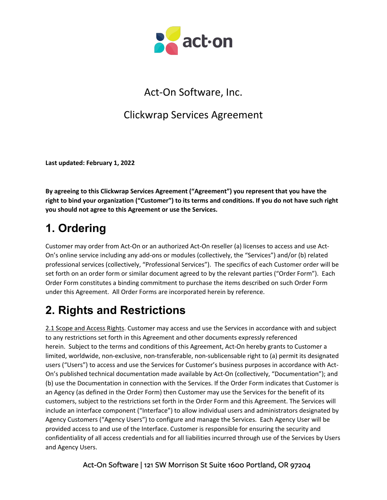

### Act-On Software, Inc.

### Clickwrap Services Agreement

**Last updated: February 1, 2022**

**By agreeing to this Clickwrap Services Agreement ("Agreement") you represent that you have the right to bind your organization ("Customer") to its terms and conditions. If you do not have such right you should not agree to this Agreement or use the Services.**

# **1. Ordering**

Customer may order from Act-On or an authorized Act-On reseller (a) licenses to access and use Act-On's online service including any add-ons or modules (collectively, the "Services") and/or (b) related professional services (collectively, "Professional Services"). The specifics of each Customer order will be set forth on an order form or similar document agreed to by the relevant parties ("Order Form"). Each Order Form constitutes a binding commitment to purchase the items described on such Order Form under this Agreement. All Order Forms are incorporated herein by reference.

# **2. Rights and Restrictions**

2.1 Scope and Access Rights. Customer may access and use the Services in accordance with and subject to any restrictions set forth in this Agreement and other documents expressly referenced herein. Subject to the terms and conditions of this Agreement, Act-On hereby grants to Customer a limited, worldwide, non-exclusive, non-transferable, non-sublicensable right to (a) permit its designated users ("Users") to access and use the Services for Customer's business purposes in accordance with Act-On's published technical documentation made available by Act-On (collectively, "Documentation"); and (b) use the Documentation in connection with the Services. If the Order Form indicates that Customer is an Agency (as defined in the Order Form) then Customer may use the Services for the benefit of its customers, subject to the restrictions set forth in the Order Form and this Agreement. The Services will include an interface component ("Interface") to allow individual users and administrators designated by Agency Customers ("Agency Users") to configure and manage the Services. Each Agency User will be provided access to and use of the Interface. Customer is responsible for ensuring the security and confidentiality of all access credentials and for all liabilities incurred through use of the Services by Users and Agency Users.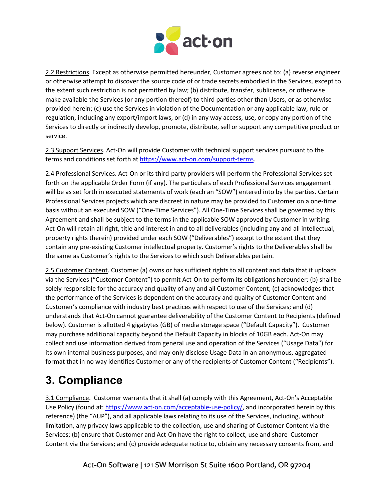

2.2 Restrictions. Except as otherwise permitted hereunder, Customer agrees not to: (a) reverse engineer or otherwise attempt to discover the source code of or trade secrets embodied in the Services, except to the extent such restriction is not permitted by law; (b) distribute, transfer, sublicense, or otherwise make available the Services (or any portion thereof) to third parties other than Users, or as otherwise provided herein; (c) use the Services in violation of the Documentation or any applicable law, rule or regulation, including any export/import laws, or (d) in any way access, use, or copy any portion of the Services to directly or indirectly develop, promote, distribute, sell or support any competitive product or service.

2.3 Support Services. Act-On will provide Customer with technical support services pursuant to the terms and conditions set forth at https://www.act-on.com/support-terms.

2.4 Professional Services. Act-On or its third-party providers will perform the Professional Services set forth on the applicable Order Form (if any). The particulars of each Professional Services engagement will be as set forth in executed statements of work (each an "SOW") entered into by the parties. Certain Professional Services projects which are discreet in nature may be provided to Customer on a one-time basis without an executed SOW ("One-Time Services"). All One-Time Services shall be governed by this Agreement and shall be subject to the terms in the applicable SOW approved by Customer in writing. Act-On will retain all right, title and interest in and to all deliverables (including any and all intellectual, property rights therein) provided under each SOW ("Deliverables") except to the extent that they contain any pre-existing Customer intellectual property. Customer's rights to the Deliverables shall be the same as Customer's rights to the Services to which such Deliverables pertain.

2.5 Customer Content. Customer (a) owns or has sufficient rights to all content and data that it uploads via the Services ("Customer Content") to permit Act-On to perform its obligations hereunder; (b) shall be solely responsible for the accuracy and quality of any and all Customer Content; (c) acknowledges that the performance of the Services is dependent on the accuracy and quality of Customer Content and Customer's compliance with industry best practices with respect to use of the Services; and (d) understands that Act-On cannot guarantee deliverability of the Customer Content to Recipients (defined below). Customer is allotted 4 gigabytes (GB) of media storage space ("Default Capacity"). Customer may purchase additional capacity beyond the Default Capacity in blocks of 10GB each. Act-On may collect and use information derived from general use and operation of the Services ("Usage Data") for its own internal business purposes, and may only disclose Usage Data in an anonymous, aggregated format that in no way identifies Customer or any of the recipients of Customer Content ("Recipients").

## **3. Compliance**

3.1 Compliance. Customer warrants that it shall (a) comply with this Agreement, Act-On's Acceptable Use Policy (found at: https://www.act-on.com/acceptable-use-policy/, and incorporated herein by this reference) (the "AUP"), and all applicable laws relating to its use of the Services, including, without limitation, any privacy laws applicable to the collection, use and sharing of Customer Content via the Services; (b) ensure that Customer and Act-On have the right to collect, use and share Customer Content via the Services; and (c) provide adequate notice to, obtain any necessary consents from, and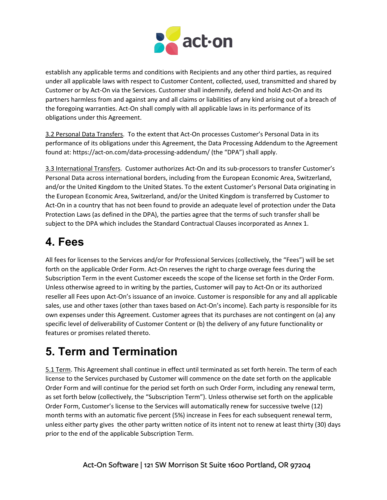

establish any applicable terms and conditions with Recipients and any other third parties, as required under all applicable laws with respect to Customer Content, collected, used, transmitted and shared by Customer or by Act-On via the Services. Customer shall indemnify, defend and hold Act-On and its partners harmless from and against any and all claims or liabilities of any kind arising out of a breach of the foregoing warranties. Act-On shall comply with all applicable laws in its performance of its obligations under this Agreement.

3.2 Personal Data Transfers. To the extent that Act-On processes Customer's Personal Data in its performance of its obligations under this Agreement, the Data Processing Addendum to the Agreement found at: https://act-on.com/data-processing-addendum/ (the "DPA") shall apply.

3.3 International Transfers. Customer authorizes Act-On and its sub-processors to transfer Customer's Personal Data across international borders, including from the European Economic Area, Switzerland, and/or the United Kingdom to the United States. To the extent Customer's Personal Data originating in the European Economic Area, Switzerland, and/or the United Kingdom is transferred by Customer to Act-On in a country that has not been found to provide an adequate level of protection under the Data Protection Laws (as defined in the DPA), the parties agree that the terms of such transfer shall be subject to the DPA which includes the Standard Contractual Clauses incorporated as Annex 1.

### **4. Fees**

All fees for licenses to the Services and/or for Professional Services (collectively, the "Fees") will be set forth on the applicable Order Form. Act-On reserves the right to charge overage fees during the Subscription Term in the event Customer exceeds the scope of the license set forth in the Order Form. Unless otherwise agreed to in writing by the parties, Customer will pay to Act-On or its authorized reseller all Fees upon Act-On's issuance of an invoice. Customer is responsible for any and all applicable sales, use and other taxes (other than taxes based on Act-On's income). Each party is responsible for its own expenses under this Agreement. Customer agrees that its purchases are not contingent on (a) any specific level of deliverability of Customer Content or (b) the delivery of any future functionality or features or promises related thereto.

# **5. Term and Termination**

5.1 Term. This Agreement shall continue in effect until terminated as set forth herein. The term of each license to the Services purchased by Customer will commence on the date set forth on the applicable Order Form and will continue for the period set forth on such Order Form, including any renewal term, as set forth below (collectively, the "Subscription Term"). Unless otherwise set forth on the applicable Order Form, Customer's license to the Services will automatically renew for successive twelve (12) month terms with an automatic five percent (5%) increase in Fees for each subsequent renewal term, unless either party gives the other party written notice of its intent not to renew at least thirty (30) days prior to the end of the applicable Subscription Term.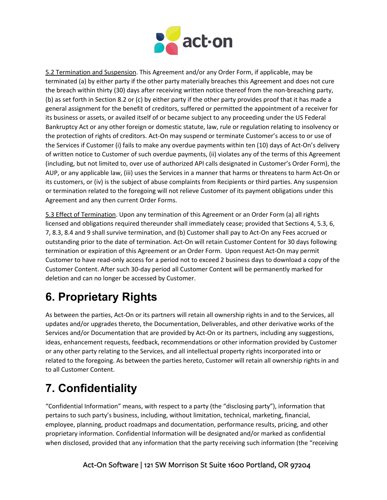

5.2 Termination and Suspension. This Agreement and/or any Order Form, if applicable, may be terminated (a) by either party if the other party materially breaches this Agreement and does not cure the breach within thirty (30) days after receiving written notice thereof from the non-breaching party, (b) as set forth in Section 8.2 or (c) by either party if the other party provides proof that it has made a general assignment for the benefit of creditors, suffered or permitted the appointment of a receiver for its business or assets, or availed itself of or became subject to any proceeding under the US Federal Bankruptcy Act or any other foreign or domestic statute, law, rule or regulation relating to insolvency or the protection of rights of creditors. Act-On may suspend or terminate Customer's access to or use of the Services if Customer (i) fails to make any overdue payments within ten (10) days of Act-On's delivery of written notice to Customer of such overdue payments, (ii) violates any of the terms of this Agreement (including, but not limited to, over use of authorized API calls designated in Customer's Order Form), the AUP, or any applicable law, (iii) uses the Services in a manner that harms or threatens to harm Act-On or its customers, or (iv) is the subject of abuse complaints from Recipients or third parties. Any suspension or termination related to the foregoing will not relieve Customer of its payment obligations under this Agreement and any then current Order Forms.

5.3 Effect of Termination. Upon any termination of this Agreement or an Order Form (a) all rights licensed and obligations required thereunder shall immediately cease; provided that Sections 4, 5.3, 6, 7, 8.3, 8.4 and 9 shall survive termination, and (b) Customer shall pay to Act-On any Fees accrued or outstanding prior to the date of termination. Act-On will retain Customer Content for 30 days following termination or expiration of this Agreement or an Order Form. Upon request Act-On may permit Customer to have read-only access for a period not to exceed 2 business days to download a copy of the Customer Content. After such 30-day period all Customer Content will be permanently marked for deletion and can no longer be accessed by Customer.

# **6. Proprietary Rights**

As between the parties, Act-On or its partners will retain all ownership rights in and to the Services, all updates and/or upgrades thereto, the Documentation, Deliverables, and other derivative works of the Services and/or Documentation that are provided by Act-On or its partners, including any suggestions, ideas, enhancement requests, feedback, recommendations or other information provided by Customer or any other party relating to the Services, and all intellectual property rights incorporated into or related to the foregoing. As between the parties hereto, Customer will retain all ownership rights in and to all Customer Content.

# **7. Confidentiality**

"Confidential Information" means, with respect to a party (the "disclosing party"), information that pertains to such party's business, including, without limitation, technical, marketing, financial, employee, planning, product roadmaps and documentation, performance results, pricing, and other proprietary information. Confidential Information will be designated and/or marked as confidential when disclosed, provided that any information that the party receiving such information (the "receiving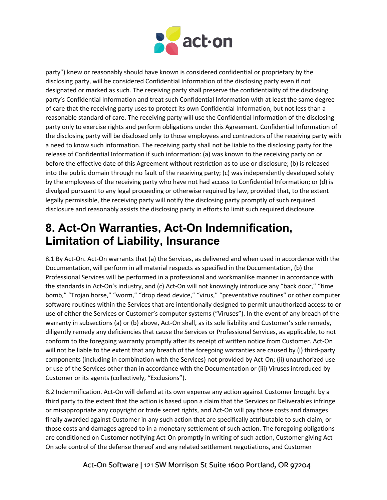

party") knew or reasonably should have known is considered confidential or proprietary by the disclosing party, will be considered Confidential Information of the disclosing party even if not designated or marked as such. The receiving party shall preserve the confidentiality of the disclosing party's Confidential Information and treat such Confidential Information with at least the same degree of care that the receiving party uses to protect its own Confidential Information, but not less than a reasonable standard of care. The receiving party will use the Confidential Information of the disclosing party only to exercise rights and perform obligations under this Agreement. Confidential Information of the disclosing party will be disclosed only to those employees and contractors of the receiving party with a need to know such information. The receiving party shall not be liable to the disclosing party for the release of Confidential Information if such information: (a) was known to the receiving party on or before the effective date of this Agreement without restriction as to use or disclosure; (b) is released into the public domain through no fault of the receiving party; (c) was independently developed solely by the employees of the receiving party who have not had access to Confidential Information; or (d) is divulged pursuant to any legal proceeding or otherwise required by law, provided that, to the extent legally permissible, the receiving party will notify the disclosing party promptly of such required disclosure and reasonably assists the disclosing party in efforts to limit such required disclosure.

### **8. Act-On Warranties, Act-On Indemnification, Limitation of Liability, Insurance**

8.1 By Act-On. Act-On warrants that (a) the Services, as delivered and when used in accordance with the Documentation, will perform in all material respects as specified in the Documentation, (b) the Professional Services will be performed in a professional and workmanlike manner in accordance with the standards in Act-On's industry, and (c) Act-On will not knowingly introduce any "back door," "time bomb," "Trojan horse," "worm," "drop dead device," "virus," "preventative routines" or other computer software routines within the Services that are intentionally designed to permit unauthorized access to or use of either the Services or Customer's computer systems ("Viruses"). In the event of any breach of the warranty in subsections (a) or (b) above, Act-On shall, as its sole liability and Customer's sole remedy, diligently remedy any deficiencies that cause the Services or Professional Services, as applicable, to not conform to the foregoing warranty promptly after its receipt of written notice from Customer. Act-On will not be liable to the extent that any breach of the foregoing warranties are caused by (i) third-party components (including in combination with the Services) not provided by Act-On; (ii) unauthorized use or use of the Services other than in accordance with the Documentation or (iii) Viruses introduced by Customer or its agents (collectively, "Exclusions").

8.2 Indemnification. Act-On will defend at its own expense any action against Customer brought by a third party to the extent that the action is based upon a claim that the Services or Deliverables infringe or misappropriate any copyright or trade secret rights, and Act-On will pay those costs and damages finally awarded against Customer in any such action that are specifically attributable to such claim, or those costs and damages agreed to in a monetary settlement of such action. The foregoing obligations are conditioned on Customer notifying Act-On promptly in writing of such action, Customer giving Act-On sole control of the defense thereof and any related settlement negotiations, and Customer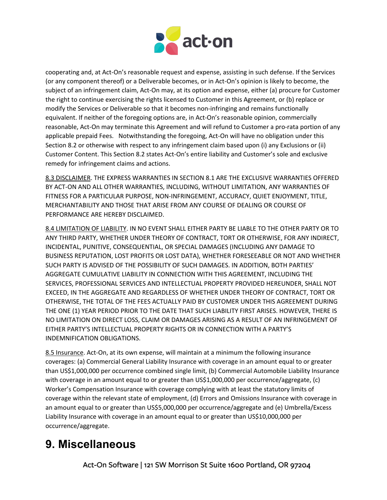

cooperating and, at Act-On's reasonable request and expense, assisting in such defense. If the Services (or any component thereof) or a Deliverable becomes, or in Act-On's opinion is likely to become, the subject of an infringement claim, Act-On may, at its option and expense, either (a) procure for Customer the right to continue exercising the rights licensed to Customer in this Agreement, or (b) replace or modify the Services or Deliverable so that it becomes non-infringing and remains functionally equivalent. If neither of the foregoing options are, in Act-On's reasonable opinion, commercially reasonable, Act-On may terminate this Agreement and will refund to Customer a pro-rata portion of any applicable prepaid Fees. Notwithstanding the foregoing, Act-On will have no obligation under this Section 8.2 or otherwise with respect to any infringement claim based upon (i) any Exclusions or (ii) Customer Content. This Section 8.2 states Act-On's entire liability and Customer's sole and exclusive remedy for infringement claims and actions.

8.3 DISCLAIMER. THE EXPRESS WARRANTIES IN SECTION 8.1 ARE THE EXCLUSIVE WARRANTIES OFFERED BY ACT-ON AND ALL OTHER WARRANTIES, INCLUDING, WITHOUT LIMITATION, ANY WARRANTIES OF FITNESS FOR A PARTICULAR PURPOSE, NON-INFRINGEMENT, ACCURACY, QUIET ENJOYMENT, TITLE, MERCHANTABILITY AND THOSE THAT ARISE FROM ANY COURSE OF DEALING OR COURSE OF PERFORMANCE ARE HEREBY DISCLAIMED.

8.4 LIMITATION OF LIABILITY. IN NO EVENT SHALL EITHER PARTY BE LIABLE TO THE OTHER PARTY OR TO ANY THIRD PARTY, WHETHER UNDER THEORY OF CONTRACT, TORT OR OTHERWISE, FOR ANY INDIRECT, INCIDENTAL, PUNITIVE, CONSEQUENTIAL, OR SPECIAL DAMAGES (INCLUDING ANY DAMAGE TO BUSINESS REPUTATION, LOST PROFITS OR LOST DATA), WHETHER FORESEEABLE OR NOT AND WHETHER SUCH PARTY IS ADVISED OF THE POSSIBILITY OF SUCH DAMAGES. IN ADDITION, BOTH PARTIES' AGGREGATE CUMULATIVE LIABILITY IN CONNECTION WITH THIS AGREEMENT, INCLUDING THE SERVICES, PROFESSIONAL SERVICES AND INTELLECTUAL PROPERTY PROVIDED HEREUNDER, SHALL NOT EXCEED, IN THE AGGREGATE AND REGARDLESS OF WHETHER UNDER THEORY OF CONTRACT, TORT OR OTHERWISE, THE TOTAL OF THE FEES ACTUALLY PAID BY CUSTOMER UNDER THIS AGREEMENT DURING THE ONE (1) YEAR PERIOD PRIOR TO THE DATE THAT SUCH LIABILITY FIRST ARISES. HOWEVER, THERE IS NO LIMITATION ON DIRECT LOSS, CLAIM OR DAMAGES ARISING AS A RESULT OF AN INFRINGEMENT OF EITHER PARTY'S INTELLECTUAL PROPERTY RIGHTS OR IN CONNECTION WITH A PARTY'S INDEMNIFICATION OBLIGATIONS.

8.5 Insurance. Act-On, at its own expense, will maintain at a minimum the following insurance coverages: (a) Commercial General Liability Insurance with coverage in an amount equal to or greater than US\$1,000,000 per occurrence combined single limit, (b) Commercial Automobile Liability Insurance with coverage in an amount equal to or greater than US\$1,000,000 per occurrence/aggregate, (c) Worker's Compensation Insurance with coverage complying with at least the statutory limits of coverage within the relevant state of employment, (d) Errors and Omissions Insurance with coverage in an amount equal to or greater than US\$5,000,000 per occurrence/aggregate and (e) Umbrella/Excess Liability Insurance with coverage in an amount equal to or greater than US\$10,000,000 per occurrence/aggregate.

### **9. Miscellaneous**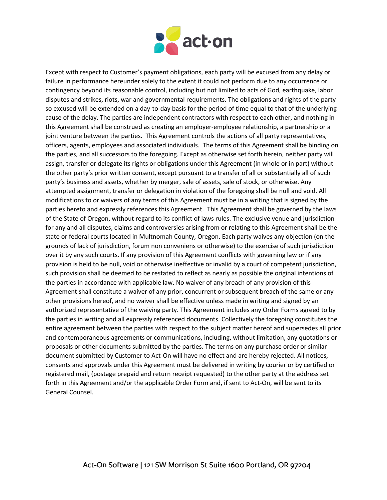

Except with respect to Customer's payment obligations, each party will be excused from any delay or failure in performance hereunder solely to the extent it could not perform due to any occurrence or contingency beyond its reasonable control, including but not limited to acts of God, earthquake, labor disputes and strikes, riots, war and governmental requirements. The obligations and rights of the party so excused will be extended on a day-to-day basis for the period of time equal to that of the underlying cause of the delay. The parties are independent contractors with respect to each other, and nothing in this Agreement shall be construed as creating an employer-employee relationship, a partnership or a joint venture between the parties. This Agreement controls the actions of all party representatives, officers, agents, employees and associated individuals. The terms of this Agreement shall be binding on the parties, and all successors to the foregoing. Except as otherwise set forth herein, neither party will assign, transfer or delegate its rights or obligations under this Agreement (in whole or in part) without the other party's prior written consent, except pursuant to a transfer of all or substantially all of such party's business and assets, whether by merger, sale of assets, sale of stock, or otherwise. Any attempted assignment, transfer or delegation in violation of the foregoing shall be null and void. All modifications to or waivers of any terms of this Agreement must be in a writing that is signed by the parties hereto and expressly references this Agreement. This Agreement shall be governed by the laws of the State of Oregon, without regard to its conflict of laws rules. The exclusive venue and jurisdiction for any and all disputes, claims and controversies arising from or relating to this Agreement shall be the state or federal courts located in Multnomah County, Oregon. Each party waives any objection (on the grounds of lack of jurisdiction, forum non conveniens or otherwise) to the exercise of such jurisdiction over it by any such courts. If any provision of this Agreement conflicts with governing law or if any provision is held to be null, void or otherwise ineffective or invalid by a court of competent jurisdiction, such provision shall be deemed to be restated to reflect as nearly as possible the original intentions of the parties in accordance with applicable law. No waiver of any breach of any provision of this Agreement shall constitute a waiver of any prior, concurrent or subsequent breach of the same or any other provisions hereof, and no waiver shall be effective unless made in writing and signed by an authorized representative of the waiving party. This Agreement includes any Order Forms agreed to by the parties in writing and all expressly referenced documents. Collectively the foregoing constitutes the entire agreement between the parties with respect to the subject matter hereof and supersedes all prior and contemporaneous agreements or communications, including, without limitation, any quotations or proposals or other documents submitted by the parties. The terms on any purchase order or similar document submitted by Customer to Act-On will have no effect and are hereby rejected. All notices, consents and approvals under this Agreement must be delivered in writing by courier or by certified or registered mail, (postage prepaid and return receipt requested) to the other party at the address set forth in this Agreement and/or the applicable Order Form and, if sent to Act-On, will be sent to its General Counsel.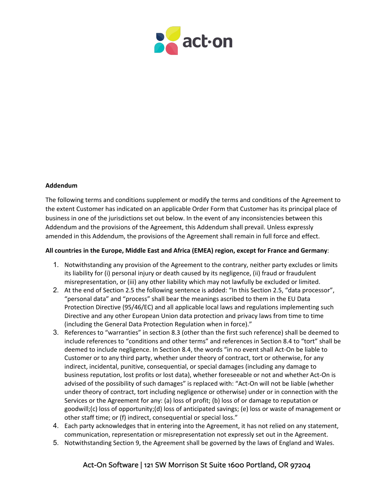

#### **Addendum**

The following terms and conditions supplement or modify the terms and conditions of the Agreement to the extent Customer has indicated on an applicable Order Form that Customer has its principal place of business in one of the jurisdictions set out below. In the event of any inconsistencies between this Addendum and the provisions of the Agreement, this Addendum shall prevail. Unless expressly amended in this Addendum, the provisions of the Agreement shall remain in full force and effect.

#### **All countries in the Europe, Middle East and Africa (EMEA) region, except for France and Germany**:

- 1. Notwithstanding any provision of the Agreement to the contrary, neither party excludes or limits its liability for (i) personal injury or death caused by its negligence, (ii) fraud or fraudulent misrepresentation, or (iii) any other liability which may not lawfully be excluded or limited.
- 2. At the end of Section 2.5 the following sentence is added: "In this Section 2.5, "data processor", "personal data" and "process" shall bear the meanings ascribed to them in the EU Data Protection Directive (95/46/EC) and all applicable local laws and regulations implementing such Directive and any other European Union data protection and privacy laws from time to time (including the General Data Protection Regulation when in force)."
- 3. References to "warranties" in section 8.3 (other than the first such reference) shall be deemed to include references to "conditions and other terms" and references in Section 8.4 to "tort" shall be deemed to include negligence. In Section 8.4, the words "in no event shall Act-On be liable to Customer or to any third party, whether under theory of contract, tort or otherwise, for any indirect, incidental, punitive, consequential, or special damages (including any damage to business reputation, lost profits or lost data), whether foreseeable or not and whether Act-On is advised of the possibility of such damages" is replaced with: "Act-On will not be liable (whether under theory of contract, tort including negligence or otherwise) under or in connection with the Services or the Agreement for any: (a) loss of profit; (b) loss of or damage to reputation or goodwill;(c) loss of opportunity;(d) loss of anticipated savings; (e) loss or waste of management or other staff time; or (f) indirect, consequential or special loss."
- 4. Each party acknowledges that in entering into the Agreement, it has not relied on any statement, communication, representation or misrepresentation not expressly set out in the Agreement.
- 5. Notwithstanding Section 9, the Agreement shall be governed by the laws of England and Wales.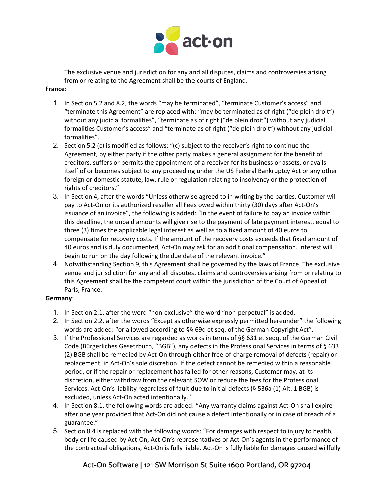

The exclusive venue and jurisdiction for any and all disputes, claims and controversies arising from or relating to the Agreement shall be the courts of England.

#### **France**:

- 1. In Section 5.2 and 8.2, the words "may be terminated", "terminate Customer's access" and "terminate this Agreement" are replaced with: "may be terminated as of right ("de plein droit") without any judicial formalities", "terminate as of right ("de plein droit") without any judicial formalities Customer's access" and "terminate as of right ("de plein droit") without any judicial formalities".
- 2. Section 5.2 (c) is modified as follows: "(c) subject to the receiver's right to continue the Agreement, by either party if the other party makes a general assignment for the benefit of creditors, suffers or permits the appointment of a receiver for its business or assets, or avails itself of or becomes subject to any proceeding under the US Federal Bankruptcy Act or any other foreign or domestic statute, law, rule or regulation relating to insolvency or the protection of rights of creditors."
- 3. In Section 4, after the words "Unless otherwise agreed to in writing by the parties, Customer will pay to Act-On or its authorized reseller all Fees owed within thirty (30) days after Act-On's issuance of an invoice", the following is added: "In the event of failure to pay an invoice within this deadline, the unpaid amounts will give rise to the payment of late payment interest, equal to three (3) times the applicable legal interest as well as to a fixed amount of 40 euros to compensate for recovery costs. If the amount of the recovery costs exceeds that fixed amount of 40 euros and is duly documented, Act-On may ask for an additional compensation. Interest will begin to run on the day following the due date of the relevant invoice."
- 4. Notwithstanding Section 9, this Agreement shall be governed by the laws of France. The exclusive venue and jurisdiction for any and all disputes, claims and controversies arising from or relating to this Agreement shall be the competent court within the jurisdiction of the Court of Appeal of Paris, France.

#### **Germany**:

- 1. In Section 2.1, after the word "non-exclusive" the word "non-perpetual" is added.
- 2. In Section 2.2, after the words "Except as otherwise expressly permitted hereunder" the following words are added: "or allowed according to §§ 69d et seq. of the German Copyright Act".
- 3. If the Professional Services are regarded as works in terms of §§ 631 et seqq. of the German Civil Code (Bürgerliches Gesetzbuch, "BGB"), any defects in the Professional Services in terms of § 633 (2) BGB shall be remedied by Act-On through either free-of-charge removal of defects (repair) or replacement, in Act-On's sole discretion. If the defect cannot be remedied within a reasonable period, or if the repair or replacement has failed for other reasons, Customer may, at its discretion, either withdraw from the relevant SOW or reduce the fees for the Professional Services. Act-On's liability regardless of fault due to initial defects (§ 536a (1) Alt. 1 BGB) is excluded, unless Act-On acted intentionally."
- 4. In Section 8.1, the following words are added: "Any warranty claims against Act-On shall expire after one year provided that Act-On did not cause a defect intentionally or in case of breach of a guarantee."
- 5. Section 8.4 is replaced with the following words: "For damages with respect to injury to health, body or life caused by Act-On, Act-On's representatives or Act-On's agents in the performance of the contractual obligations, Act-On is fully liable. Act-On is fully liable for damages caused willfully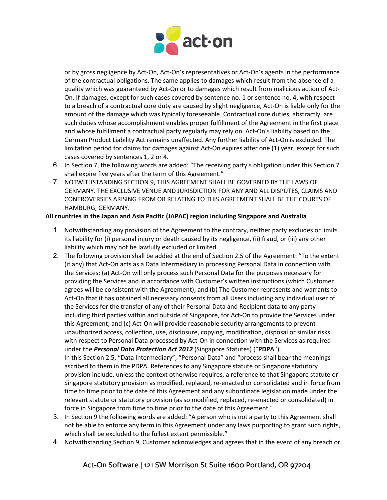

or by gross negligence by Act-On, Act-On's representatives or Act-On's agents in the performance of the contractual obligations. The same applies to damages which result from the absence of a quality which was guaranteed by Act-On or to damages which result from malicious action of Act-On. If damages, except for such cases covered by sentence no. 1 or sentence no. 4, with respect to a breach of a contractual core duty are caused by slight negligence, Act-On is liable only for the amount of the damage which was typically foreseeable. Contractual core duties, abstractly, are such duties whose accomplishment enables proper fulfillment of the Agreement in the first place and whose fulfillment a contractual party regularly may rely on. Act-On's liability based on the German Product Liability Act remains unaffected. Any further liability of Act-On is excluded. The limitation period for claims for damages against Act-On expires after one (1) year, except for such cases covered by sentences 1, 2 or 4.

- 6. In Section 7, the following words are added: "The receiving party's obligation under this Section 7 shall expire five years after the term of this Agreement."
- 7. NOTWITHSTANDING SECTION 9, THIS AGREEMENT SHALL BE GOVERNED BY THE LAWS OF GERMANY. THE EXCLUSIVE VENUE AND JURISDICTION FOR ANY AND ALL DISPUTES, CLAIMS AND CONTROVERSIES ARISING FROM OR RELATING TO THIS AGREEMENT SHALL BE THE COURTS OF HAMBURG, GERMANY.

#### **All countries in the Japan and Asia Pacific (JAPAC) region including Singapore and Australia**

- 1. Notwithstanding any provision of the Agreement to the contrary, neither party excludes or limits its liability for (i) personal injury or death caused by its negligence, (ii) fraud, or (iii) any other liability which may not be lawfully excluded or limited.
- 2. The following provision shall be added at the end of Section 2.5 of the Agreement: "To the extent (if any) that Act-On acts as a Data Intermediary in processing Personal Data in connection with the Services: (a) Act-On will only process such Personal Data for the purposes necessary for providing the Services and in accordance with Customer's written instructions (which Customer agrees will be consistent with the Agreement); and (b) The Customer represents and warrants to Act-On that it has obtained all necessary consents from all Users including any individual user of the Services for the transfer of any of their Personal Data and Recipient data to any party including third parties within and outside of Singapore, for Act-On to provide the Services under this Agreement; and (c) Act-On will provide reasonable security arrangements to prevent unauthorized access, collection, use, disclosure, copying, modification, disposal or similar risks with respect to Personal Data processed by Act-On in connection with the Services as required under the *Personal Data Protection Act 2012* (Singapore Statutes) ("**PDPA**"). In this Section 2.5, "Data Intermediary", "Personal Data" and "process shall bear the meanings

ascribed to them in the PDPA. References to any Singapore statute or Singapore statutory provision include, unless the context otherwise requires, a reference to that Singapore statute or Singapore statutory provision as modified, replaced, re-enacted or consolidated and in force from time to time prior to the date of this Agreement and any subordinate legislation made under the relevant statute or statutory provision (as so modified, replaced, re-enacted or consolidated) in force in Singapore from time to time prior to the date of this Agreement."

- 3. In Section 9 the following words are added: "A person who is not a party to this Agreement shall not be able to enforce any term in this Agreement under any laws purporting to grant such rights, which shall be excluded to the fullest extent permissible."
- 4. Notwithstanding Section 9, Customer acknowledges and agrees that in the event of any breach or